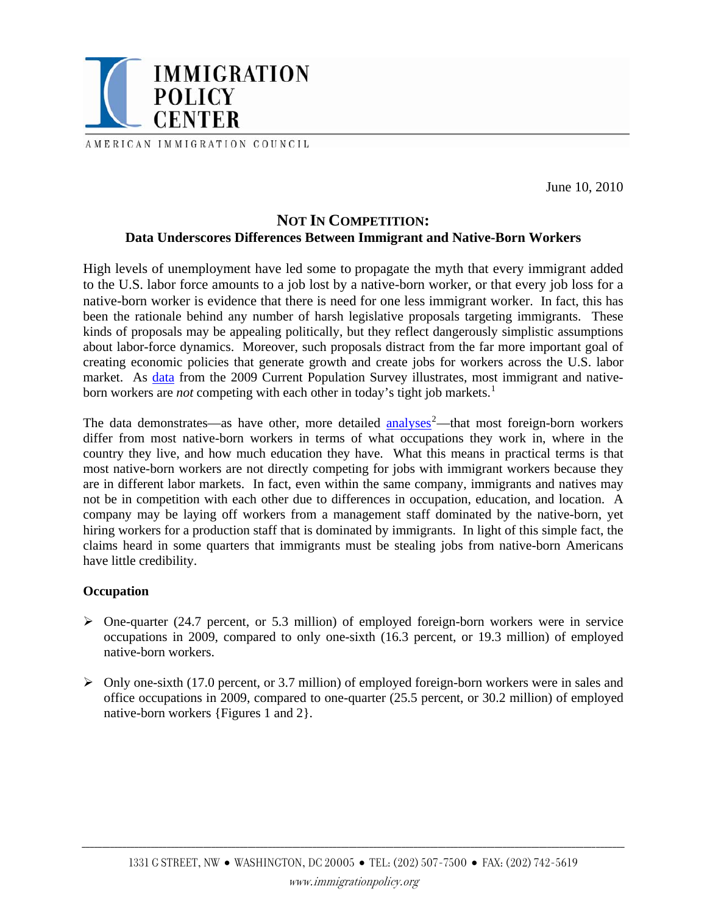

AMERICAN IMMIGRATION COUNCIL

June 10, 2010

# **NOT IN COMPETITION: Data Underscores Differences Between Immigrant and Native-Born Workers**

High levels of unemployment have led some to propagate the myth that every immigrant added to the U.S. labor force amounts to a job lost by a native-born worker, or that every job loss for a native-born worker is evidence that there is need for one less immigrant worker. In fact, this has been the rationale behind any number of harsh legislative proposals targeting immigrants. These kinds of proposals may be appealing politically, but they reflect dangerously simplistic assumptions about labor-force dynamics. Moreover, such proposals distract from the far more important goal of creating economic policies that generate growth and create jobs for workers across the U.S. labor market. As [data](http://www.bls.gov/news.release/pdf/forbrn.pdf) from the 2009 Current Population Survey illustrates, most immigrant and nativeborn workers are *not* competing with each other in today's tight job markets.<sup>[1](#page-2-0)</sup>

The data demonstrates—as have other, more detailed  $\frac{analysis^2}{}$  $\frac{analysis^2}{}$  $\frac{analysis^2}{}$ —that most foreign-born workers differ from most native-born workers in terms of what occupations they work in, where in the country they live, and how much education they have. What this means in practical terms is that most native-born workers are not directly competing for jobs with immigrant workers because they are in different labor markets. In fact, even within the same company, immigrants and natives may not be in competition with each other due to differences in occupation, education, and location. A company may be laying off workers from a management staff dominated by the native-born, yet hiring workers for a production staff that is dominated by immigrants. In light of this simple fact, the claims heard in some quarters that immigrants must be stealing jobs from native-born Americans have little credibility.

## **Occupation**

- $\triangleright$  One-quarter (24.7 percent, or 5.3 million) of employed foreign-born workers were in service occupations in 2009, compared to only one-sixth (16.3 percent, or 19.3 million) of employed native-born workers.
- $\triangleright$  Only one-sixth (17.0 percent, or 3.7 million) of employed foreign-born workers were in sales and office occupations in 2009, compared to one-quarter (25.5 percent, or 30.2 million) of employed native-born workers {Figures 1 and 2}.

\_\_\_\_\_\_\_\_\_\_\_\_\_\_\_\_\_\_\_\_\_\_\_\_\_\_\_\_\_\_\_\_\_\_\_\_\_\_\_\_\_\_\_\_\_\_\_\_\_\_\_\_\_\_\_\_\_\_\_\_\_\_\_\_\_\_\_\_\_\_\_\_\_\_\_\_\_\_\_\_\_\_\_\_\_\_\_\_\_\_\_\_\_\_\_\_\_\_\_\_\_\_\_\_\_\_\_\_\_\_\_\_\_\_\_\_\_\_\_\_\_\_\_\_\_\_\_\_\_\_\_\_\_\_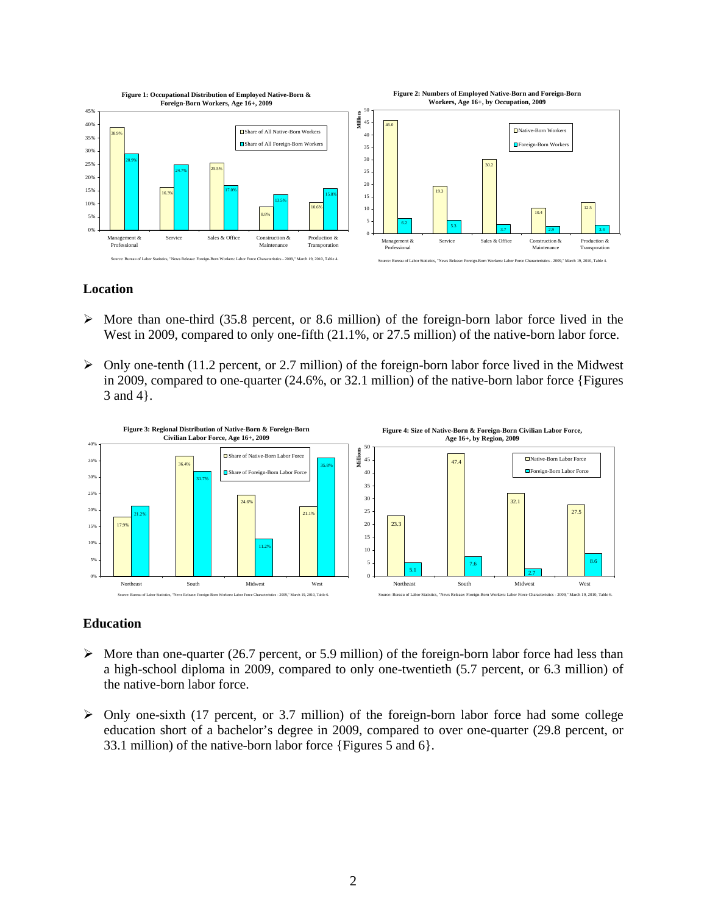

### **Location**

- $\triangleright$  More than one-third (35.8 percent, or 8.6 million) of the foreign-born labor force lived in the West in 2009, compared to only one-fifth  $(21.1\%$ , or 27.5 million) of the native-born labor force.
- $\triangleright$  Only one-tenth (11.2 percent, or 2.7 million) of the foreign-born labor force lived in the Midwest in 2009, compared to one-quarter (24.6%, or 32.1 million) of the native-born labor force {Figures 3 and 4}.



#### **Education**

- $\triangleright$  More than one-quarter (26.7 percent, or 5.9 million) of the foreign-born labor force had less than a high-school diploma in 2009, compared to only one-twentieth (5.7 percent, or 6.3 million) of the native-born labor force.
- $\triangleright$  Only one-sixth (17 percent, or 3.7 million) of the foreign-born labor force had some college education short of a bachelor's degree in 2009, compared to over one-quarter (29.8 percent, or 33.1 million) of the native-born labor force {Figures 5 and 6}.